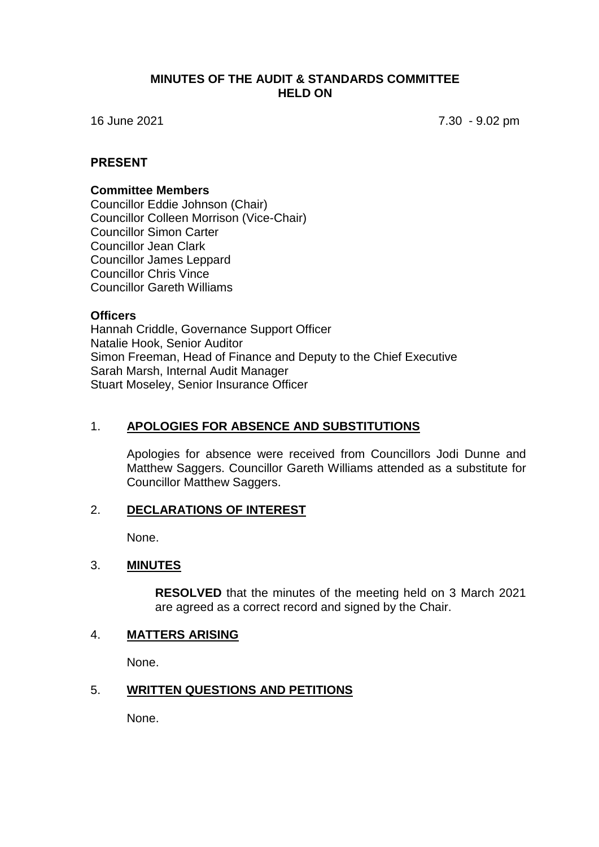### **MINUTES OF THE AUDIT & STANDARDS COMMITTEE HELD ON**

16 June 2021 7.30 - 9.02 pm

### **PRESENT**

#### **Committee Members**

Councillor Eddie Johnson (Chair) Councillor Colleen Morrison (Vice-Chair) Councillor Simon Carter Councillor Jean Clark Councillor James Leppard Councillor Chris Vince Councillor Gareth Williams

#### **Officers**

Hannah Criddle, Governance Support Officer Natalie Hook, Senior Auditor Simon Freeman, Head of Finance and Deputy to the Chief Executive Sarah Marsh, Internal Audit Manager Stuart Moseley, Senior Insurance Officer

## 1. **APOLOGIES FOR ABSENCE AND SUBSTITUTIONS**

Apologies for absence were received from Councillors Jodi Dunne and Matthew Saggers. Councillor Gareth Williams attended as a substitute for Councillor Matthew Saggers.

#### 2. **DECLARATIONS OF INTEREST**

None.

#### 3. **MINUTES**

**RESOLVED** that the minutes of the meeting held on 3 March 2021 are agreed as a correct record and signed by the Chair.

### 4. **MATTERS ARISING**

None.

### 5. **WRITTEN QUESTIONS AND PETITIONS**

None.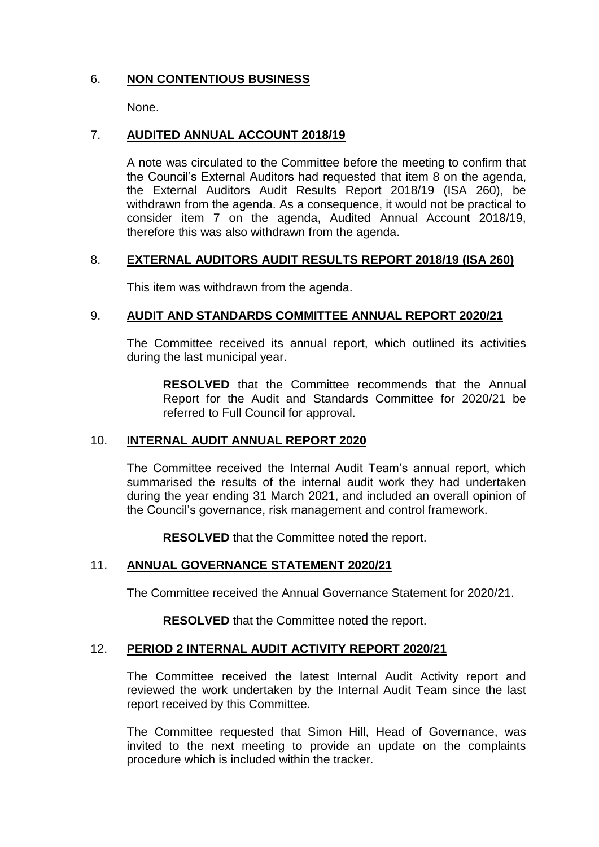# 6. **NON CONTENTIOUS BUSINESS**

None.

# 7. **AUDITED ANNUAL ACCOUNT 2018/19**

A note was circulated to the Committee before the meeting to confirm that the Council's External Auditors had requested that item 8 on the agenda, the External Auditors Audit Results Report 2018/19 (ISA 260), be withdrawn from the agenda. As a consequence, it would not be practical to consider item 7 on the agenda, Audited Annual Account 2018/19, therefore this was also withdrawn from the agenda.

# 8. **EXTERNAL AUDITORS AUDIT RESULTS REPORT 2018/19 (ISA 260)**

This item was withdrawn from the agenda.

## 9. **AUDIT AND STANDARDS COMMITTEE ANNUAL REPORT 2020/21**

The Committee received its annual report, which outlined its activities during the last municipal year.

**RESOLVED** that the Committee recommends that the Annual Report for the Audit and Standards Committee for 2020/21 be referred to Full Council for approval.

## 10. **INTERNAL AUDIT ANNUAL REPORT 2020**

The Committee received the Internal Audit Team's annual report, which summarised the results of the internal audit work they had undertaken during the year ending 31 March 2021, and included an overall opinion of the Council's governance, risk management and control framework.

**RESOLVED** that the Committee noted the report.

## 11. **ANNUAL GOVERNANCE STATEMENT 2020/21**

The Committee received the Annual Governance Statement for 2020/21.

**RESOLVED** that the Committee noted the report.

#### 12. **PERIOD 2 INTERNAL AUDIT ACTIVITY REPORT 2020/21**

The Committee received the latest Internal Audit Activity report and reviewed the work undertaken by the Internal Audit Team since the last report received by this Committee.

The Committee requested that Simon Hill, Head of Governance, was invited to the next meeting to provide an update on the complaints procedure which is included within the tracker.